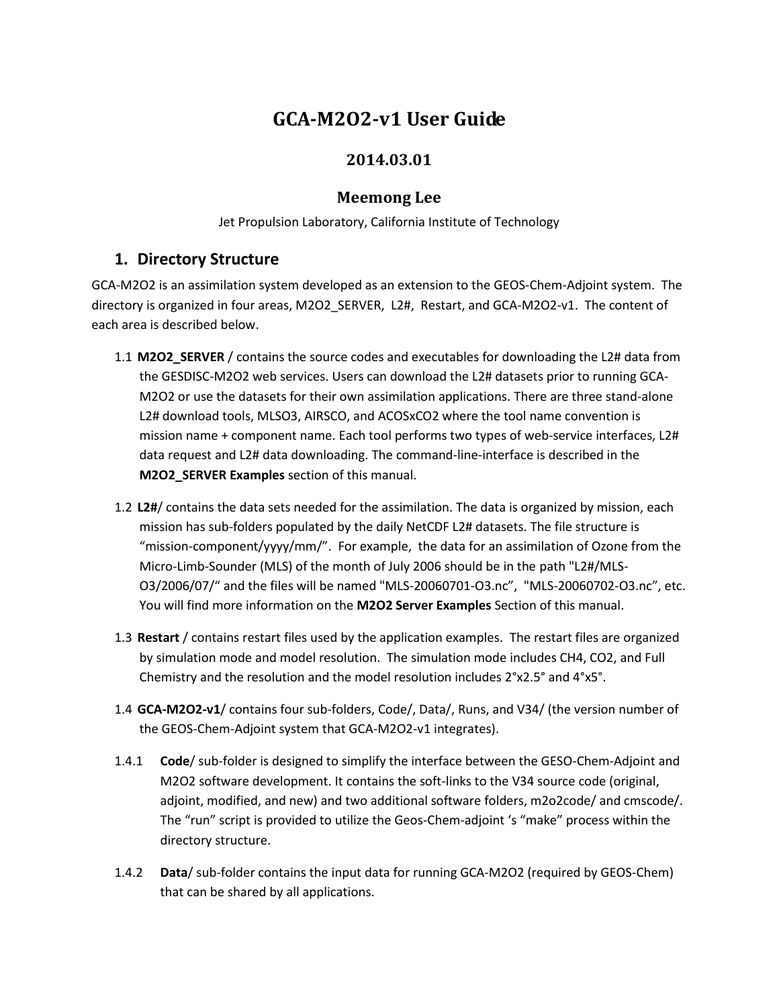# **GCA-M2O2-v1 User Guide**

### **2014.03.01**

#### **Meemong Lee**

Jet Propulsion Laboratory, California Institute of Technology

### **1. Directory Structure**

GCA-M2O2 is an assimilation system developed as an extension to the GEOS-Chem-Adjoint system. The directory is organized in four areas, M2O2\_SERVER, L2#, Restart, and GCA-M2O2-v1. The content of each area is described below.

- 1.1 **M2O2\_SERVER** / contains the source codes and executables for downloading the L2# data from the GESDISC-M2O2 web services. Users can download the L2# datasets prior to running GCA-M2O2 or use the datasets for their own assimilation applications. There are three stand-alone L2# download tools, MLSO3, AIRSCO, and ACOSxCO2 where the tool name convention is mission name + component name. Each tool performs two types of web-service interfaces, L2# data request and L2# data downloading. The command-line-interface is described in the **M2O2\_SERVER Examples** section of this manual.
- 1.2 **L2#**/ contains the data sets needed for the assimilation. The data is organized by mission, each mission has sub-folders populated by the daily NetCDF L2# datasets. The file structure is "mission-component/yyyy/mm/". For example, the data for an assimilation of Ozone from the Micro-Limb-Sounder (MLS) of the month of July 2006 should be in the path "L2#/MLS-O3/2006/07/" and the files will be named "MLS-20060701-O3.nc", "MLS-20060702-O3.nc", etc. You will find more information on the **M2O2 Server Examples** Section of this manual.
- 1.3 **Restart** / contains restart files used by the application examples. The restart files are organized by simulation mode and model resolution. The simulation mode includes CH4, CO2, and Full Chemistry and the resolution and the model resolution includes 2°x2.5° and 4°x5°.
- 1.4 **GCA-M2O2-v1**/ contains four sub-folders, Code/, Data/, Runs, and V34/ (the version number of the GEOS-Chem-Adjoint system that GCA-M2O2-v1 integrates).
- 1.4.1 **Code**/ sub-folder is designed to simplify the interface between the GESO-Chem-Adjoint and M2O2 software development. It contains the soft-links to the V34 source code (original, adjoint, modified, and new) and two additional software folders, m2o2code/ and cmscode/. The "run" script is provided to utilize the Geos-Chem-adjoint 's "make" process within the directory structure.
- 1.4.2 **Data**/ sub-folder contains the input data for running GCA-M2O2 (required by GEOS-Chem) that can be shared by all applications.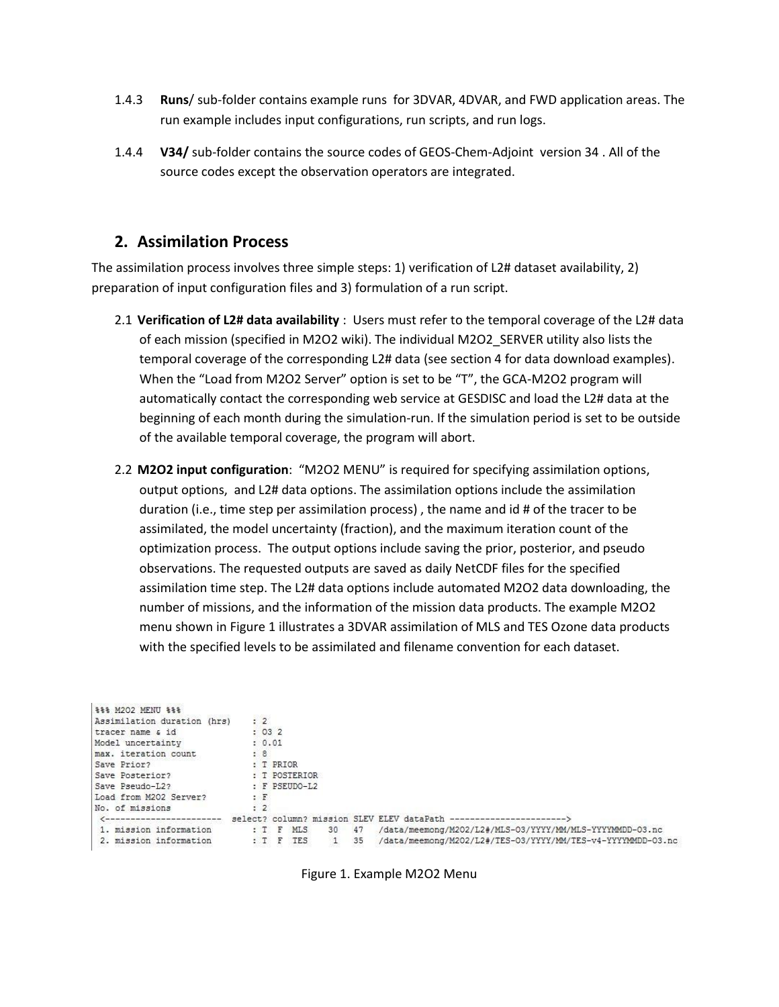- 1.4.3 **Runs**/ sub-folder contains example runs for 3DVAR, 4DVAR, and FWD application areas. The run example includes input configurations, run scripts, and run logs.
- 1.4.4 **V34/** sub-folder contains the source codes of GEOS-Chem-Adjoint version 34 . All of the source codes except the observation operators are integrated.

## **2. Assimilation Process**

The assimilation process involves three simple steps: 1) verification of L2# dataset availability, 2) preparation of input configuration files and 3) formulation of a run script.

- 2.1 **Verification of L2# data availability** : Users must refer to the temporal coverage of the L2# data of each mission (specified in M2O2 wiki). The individual M2O2\_SERVER utility also lists the temporal coverage of the corresponding L2# data (see section 4 for data download examples). When the "Load from M2O2 Server" option is set to be "T", the GCA-M2O2 program will automatically contact the corresponding web service at GESDISC and load the L2# data at the beginning of each month during the simulation-run. If the simulation period is set to be outside of the available temporal coverage, the program will abort.
- 2.2 **M2O2 input configuration**: "M2O2 MENU" is required for specifying assimilation options, output options, and L2# data options. The assimilation options include the assimilation duration (i.e., time step per assimilation process) , the name and id # of the tracer to be assimilated, the model uncertainty (fraction), and the maximum iteration count of the optimization process. The output options include saving the prior, posterior, and pseudo observations. The requested outputs are saved as daily NetCDF files for the specified assimilation time step. The L2# data options include automated M2O2 data downloading, the number of missions, and the information of the mission data products. The example M2O2 menu shown in Figure 1 illustrates a 3DVAR assimilation of MLS and TES Ozone data products with the specified levels to be assimilated and filename convention for each dataset.

| 888 M202 MENU 888           |               |               |  |              |    |                                                                     |  |
|-----------------------------|---------------|---------------|--|--------------|----|---------------------------------------------------------------------|--|
| Assimilation duration (hrs) | $\frac{1}{2}$ |               |  |              |    |                                                                     |  |
| tracer name a id            | : 032         |               |  |              |    |                                                                     |  |
| Model uncertainty           | : 0.01        |               |  |              |    |                                                                     |  |
| max. iteration count        | $\mathbf{.}8$ |               |  |              |    |                                                                     |  |
| Save Prior?                 |               | : T PRIOR     |  |              |    |                                                                     |  |
| Save Posterior?             | : T POSTERIOR |               |  |              |    |                                                                     |  |
| Save Pseudo-L2?             |               | : F PSEUDO-L2 |  |              |    |                                                                     |  |
| Load from M202 Server?      | E             |               |  |              |    |                                                                     |  |
| No. of missions             | $\cdot$ 2     |               |  |              |    |                                                                     |  |
|                             |               |               |  |              |    | select? column? mission SLEV ELEV dataPath ------------------------ |  |
| 1. mission information      |               | : T F MLS     |  | 30           | 47 | /data/meemong/M202/L2#/MLS-03/YYYY/MM/MLS-YYYYMMDD-03.nc            |  |
| 2. mission information      |               | : T F TES     |  | $\mathbf{1}$ | 35 | /data/meemong/M202/L2#/TES-03/YYYY/MM/TES-v4-YYYYMMDD-03.nc         |  |

Figure 1. Example M2O2 Menu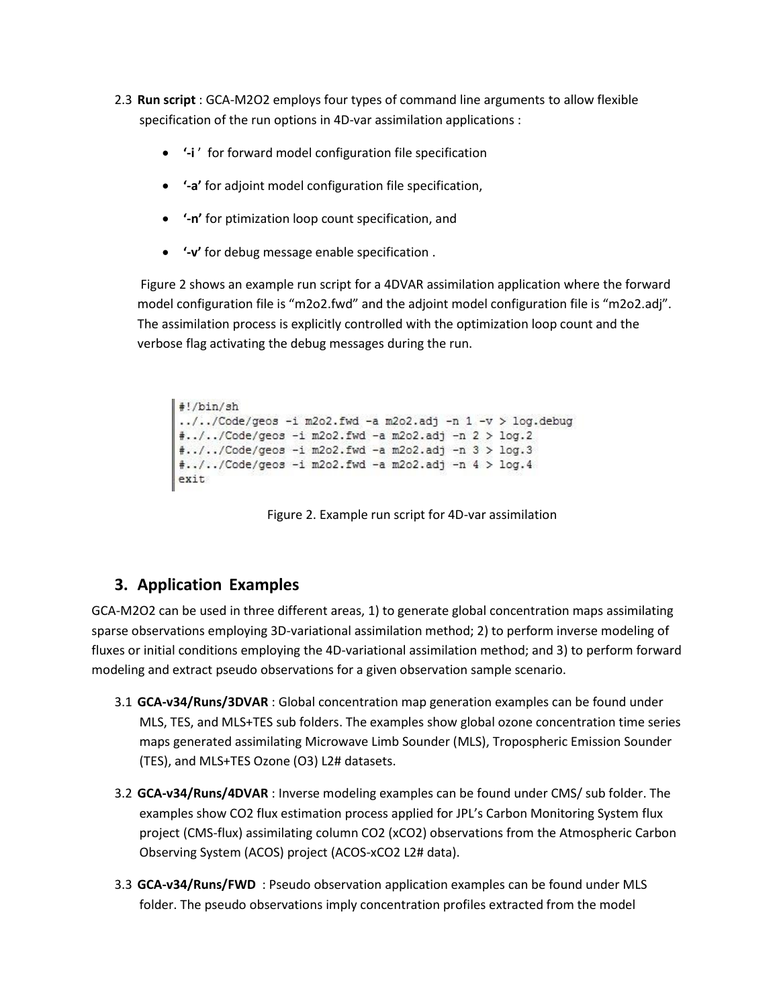- 2.3 **Run script** : GCA-M2O2 employs four types of command line arguments to allow flexible specification of the run options in 4D-var assimilation applications :
	- **'-i** ' for forward model configuration file specification
	- **'-a'** for adjoint model configuration file specification,
	- **'-n'** for ptimization loop count specification, and
	- **'-v'** for debug message enable specification .

Figure 2 shows an example run script for a 4DVAR assimilation application where the forward model configuration file is "m2o2.fwd" and the adjoint model configuration file is "m2o2.adj". The assimilation process is explicitly controlled with the optimization loop count and the verbose flag activating the debug messages during the run.

```
#!/bin/sh../../Code/geos -i m2o2.fwd -a m2o2.adj -n 1 -v > log.debug
#../../Code/geos -i m2o2.fwd -a m2o2.adj -n 2 > log.2
#../../Code/geos -i m2o2.fwd -a m2o2.adj -n 3 > log.3
#../../Code/geos -i m2o2.fwd -a m2o2.adj -n 4 > log.4
exit
```
Figure 2. Example run script for 4D-var assimilation

# **3. Application Examples**

GCA-M2O2 can be used in three different areas, 1) to generate global concentration maps assimilating sparse observations employing 3D-variational assimilation method; 2) to perform inverse modeling of fluxes or initial conditions employing the 4D-variational assimilation method; and 3) to perform forward modeling and extract pseudo observations for a given observation sample scenario.

- 3.1 **GCA-v34/Runs/3DVAR** : Global concentration map generation examples can be found under MLS, TES, and MLS+TES sub folders. The examples show global ozone concentration time series maps generated assimilating Microwave Limb Sounder (MLS), Tropospheric Emission Sounder (TES), and MLS+TES Ozone (O3) L2# datasets.
- 3.2 **GCA-v34/Runs/4DVAR** : Inverse modeling examples can be found under CMS/ sub folder. The examples show CO2 flux estimation process applied for JPL's Carbon Monitoring System flux project (CMS-flux) assimilating column CO2 (xCO2) observations from the Atmospheric Carbon Observing System (ACOS) project (ACOS-xCO2 L2# data).
- 3.3 **GCA-v34/Runs/FWD** : Pseudo observation application examples can be found under MLS folder. The pseudo observations imply concentration profiles extracted from the model